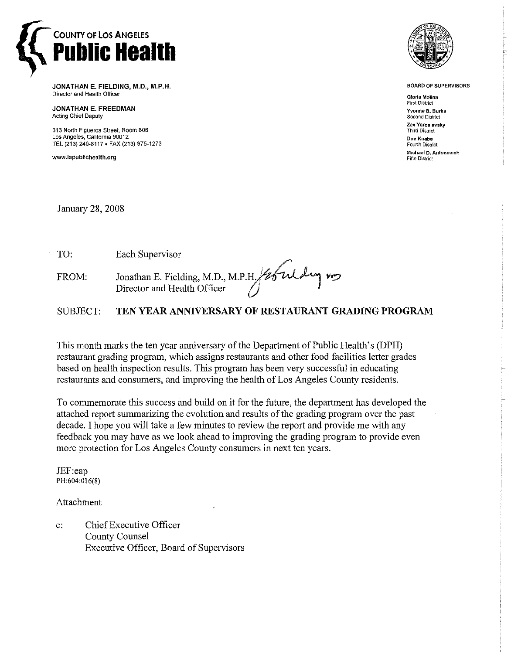

**JONATHAN E. FIELDING, M.D., M.P.H.**  Director and **Health** Officer

**JONATHAN E. FREEDMAN Acting Chief Deputy** 

313 **North** Figueroa Street, Room 806 **LOS Angeles,** California 90012 **TEL** (213) 240-8117. FAX (213) 975-7273

www.lapublichealth.org



**BOARD OF SUPERVISORS** 

**Gloria Molina First District Yvonne B. Burke Second District Zev Yaroslavsky Third District Don Knabe**  Fourth District **Michael D.Antanovich Fifth District** 

January 28,2008

TO: Each Supervisor FROM: Jonathan E. Fielding, M.D., M.P. Director and Health Officer

SUBJECT: **TEN YEAR ANNIVERSARY OF RESTAURANT GRADING PROGRAM** 

This month marks the ten year anniversary of the Department of Public Health's (DPH) restaurant grading program, which assigns restaurants and other food facilities letter grades based on health inspection results. This program has been very successful in educating restaurants and consumers, and improving the health of Los Angeles County residents.

To commemorate this success and build on it for the future, the department has developed the attached report summarizing the evolution and results of the grading program over the past decade. I hope you will take a few minutes to review the report and provide me with any feedback you may have as we look ahead to improving the grading program to provide even more protection for Los Angeles County consumers in next ten years.

JEF:eap PH:604:016(8)

Attachment

c: Chief Executive Officer County Counsel Executive Officer, Board of Supervisors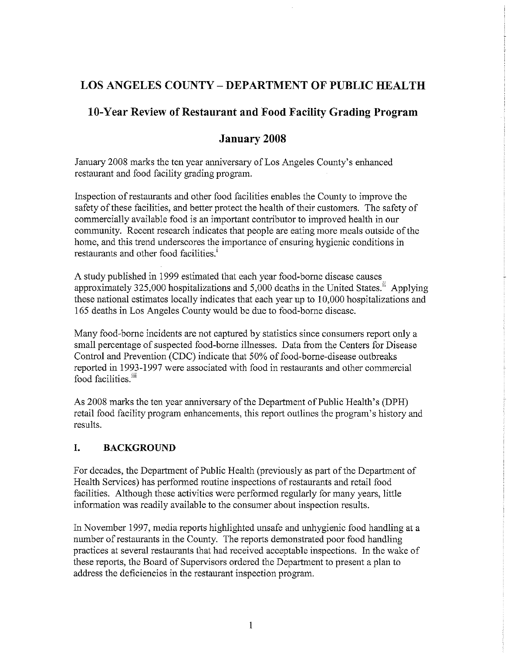# **LOS ANGELES COUNTY** - **DEPARTMENT OF PUBLIC HEALTH**

# **10-Year Review of Restaurant and Food Facility Grading Program**

## **January 2008**

January 2008 marks the ten year anniversary of Los Angeles County's enhanced restaurant and food facility grading program.

Inspection of restaurants and other food facilities enables the County to improve the safety of these facilities, and better protect the health of their customers. The safety of commercially available food is an important contributor to improved health in our community. Recent research indicates that people are eating more meals outside of the home, and this trend underscores the importance of ensuring hygienic conditions in restaurants and other food facilities.'

A study published in 1999 estimated that each year food-borne disease causes approximately 325,000 hospitalizations and 5,000 deaths in the United States." Applying these national estimates locally indicates that each year up to 10,000 hospitalizations and 165 deaths in Los Angeles County would be due to food-borne disease.

Many food-borne incidents are not captured by statistics since consumers report only a small percentage of suspected food-borne illnesses. Data from the Centers for Disease Control and Prevention (CDC) indicate that 50% of food-borne-disease outbreaks reported in 1993-1997 were associated with food in restaurants and other commercial food facilities.<sup>iii</sup>

As 2008 marks the ten year anniversary of the Department of Public Health's (DPH) retail food facility program enhancements, this report outlines the program's history and results.

## **I. BACKGROUND**

For decades, the Department of Public Health (previously as part of the Department of Health Services) has performed routine inspections of restaurants and retail food facilities. Although these activities were performed regularly for many years, little information was readily available to the consumer about inspection results.

In November 1997, media reports highlighted unsafe and unhygienic food handling at a number of restaurants in the County. The reports demonstrated poor food handling practices at several restaurants that had received acceptable inspections. In the wake of these reports, the Board of Supervisors ordered the Department to present a plan to address the deficiencies in the restaurant inspection program.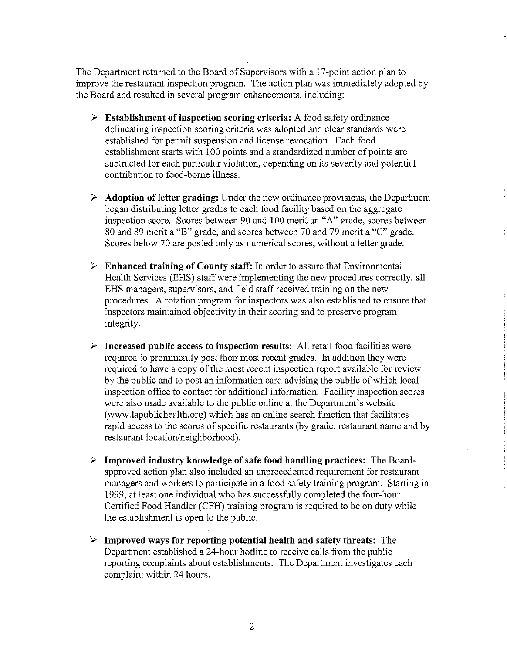The Department returned to the Board of Supervisors with a 17-point action plan to improve the restaurant inspection program. The action plan was immediately adopted by the Board and resulted in several program enhancements, including:

- $\triangleright$  Establishment of inspection scoring criteria: A food safety ordinance delineating inspection scoring criteria was adopted and clear standards were established for permit suspension and license revocation. Each food establishment starts with 100 points and a standardized number of points are subtracted for each particular violation, depending on its severity and potential contribution to food-borne illness.
- $\triangleright$  Adoption of letter grading: Under the new ordinance provisions, the Department began distributing letter grades to each food facility based on the aggregate inspection score. Scores between 90 and 100 merit an "A" grade, scores between 80 and 89 merit a "B" grade, and scores between 70 and 79 merit a "C" grade. Scores below 70 are posted only as numerical scores, without a letter grade.
- $\triangleright$  Enhanced training of County staff: In order to assure that Environmental Health Services (EHS) staff were implementing the new procedures correctly, all EHS managers, supervisors, and field staff received training on the new procedures. A rotation program for inspectors was also established to ensure that inspectors maintained objectivity in their scoring and to preserve program integrity.
- $\triangleright$  Increased public access to inspection results: All retail food facilities were required to prominently post their most recent grades. In addition they were required to have a copy of the most recent inspection report available for review by the public and to post an information card advising the public of which local inspection office to contact for additional information. Facility inspection scores were also made available to the public online at the Department's website (www.lapublichealth.org) which has an online search function that facilitates rapid access to the scores of specific restaurants (by grade, restaurant name and by restaurant location/neighborhood).
- $\geq$  Improved industry knowledge of safe food handling practices: The Boardapproved action plan also included an unprecedented requirement for restaurant managers and workers to participate in a food safety training program. Starting in 1999, at least one individual who has successfdly completed the four-hour Certified Food Handler (CFH) training program is required to be on duty while the establishment is open to the public.
- $\triangleright$  Improved ways for reporting potential health and safety threats: The Department established a 24-hour hotline to receive calls from the public reporting complaints about establishments. The Department investigates each complaint within 24 hours.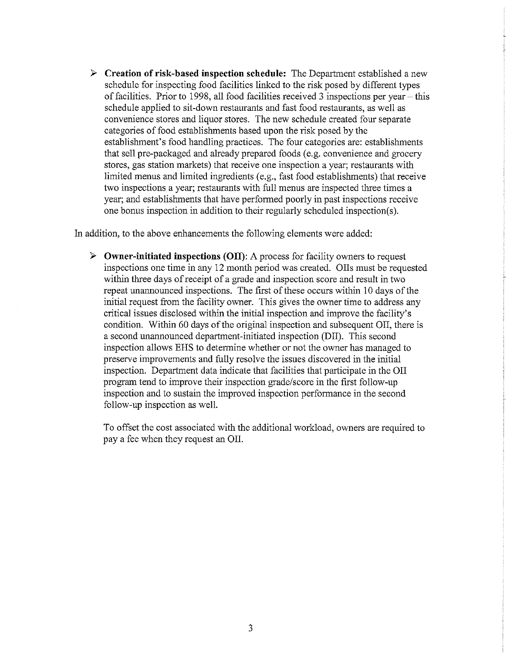$\triangleright$  Creation of risk-based inspection schedule: The Department established a new schedule for inspecting food facilities linked to the risk posed by different types of facilities. Prior to 1998, all food facilities received 3 inspections per year  $-$  this schedule applied to sit-down restaurants and fast food restaurants, as well as convenience stores and liquor stores. The new schedule created four separate categories of food establishments based upon the risk posed by the establishment's food handling practices. The four categories are: establishments that sell pre-packaged and already prepared foods (e.g. convenience and grocery stores, gas station markets) that receive one inspection a year; restaurants with limited menus and limited ingredients (e.g., fast food establishments) that receive two inspections a year; restaurants with full menus are inspected three times a year; and establishments that have performed poorly in past inspections receive one bonus inspection in addition to their regularly scheduled inspection(s).

In addition, to the above enhancements the following elements were added:

 $\triangleright$  Owner-initiated inspections (OII): A process for facility owners to request inspections one time in any 12 month period was created. 011s must be requested within three days of receipt of a grade and inspection score and result in two repeat unannounced inspections. The first of these occurs within 10 days of the initial request from the facility owner. This gives the owner time to address any critical issues disclosed within the initial inspection and improve the facility's condition. Within 60 days of the original inspection and subsequent OII, there is a second unannounced department-initiated inspection (DII). This second inspection allows EHS to determine whether or not the owner has managed to preserve improvements and fdly resolve the issues discovered in the initial inspection. Department data indicate that facilities that participate in the 011 program tend to improve their inspection gradelscore in the first follow-up inspection and to sustain the improved inspection performance in the second follow-up inspection as well.

To offset the cost associated with the additional workload, owners are required to pay a fee when they request an 011.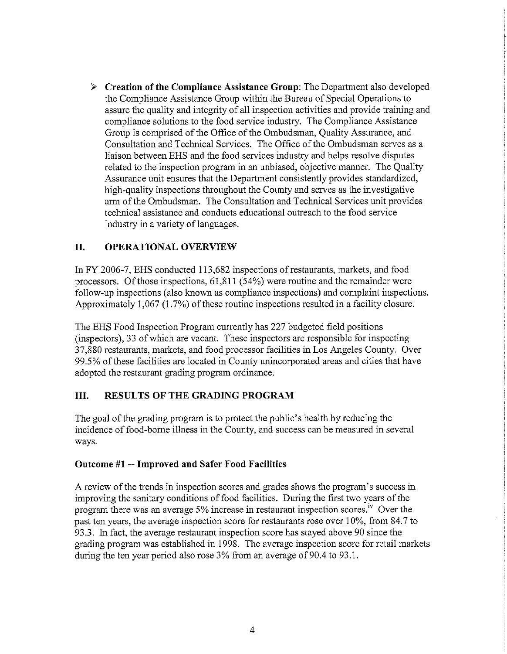**3 Creation of the Compliance Assistance Group:** The Department also developed the Compliance Assistance Group within the Bureau of Special Operations to assure the quality and integrity of all inspection activities and provide training and compliance solutions to the food service industry. The Compliance Assistance Group is comprised of the Office of the Ombudsman, Quality Assurance, and Consultation and Technical Services. The Office of the Ombudsman serves as a liaison between EHS and the food services industry and helps resolve disputes related to the inspection program in an unbiased, objective manner. The Quality Assurance unit ensures that the Department consistently provides standardized, high-quality inspections throughout the County and serves as the investigative arm of the Ombudsman. The Consultation and Technical Services unit provides technical assistance and conducts educational outreach to the food service industry in a variety of languages.

## **11. OPERATIONAL OVERVIEW**

In FY 2006-7, EHS conducted 113,682 inspections of restaurants, markets, and food processors. Of those inspections, 61,811 (54%) were routine and the remainder were follow-up inspections (also known as compliance inspections) and complaint inspections. Approximately 1,067 (1.7%) of these routine inspections resulted in a facility closure.

The EHS Food Inspection Program currently has 227 budgeted field positions (inspectors), 33 of which are vacant. These inspectors are responsible for inspecting 37,880 restaurants, markets, and food processor facilities in Los Angeles County. Over 99.5% of these facilities are located in County unincorporated areas and cities that have adopted the restaurant grading program ordinance.

## **111. RESULTS OF THE GRADING PROGRAM**

The goal of the grading program is to protect the public's health by reducing the incidence of food-borne illness in the County, and success can be measured in several ways.

## **Outcome #1** -- **Improved and Safer Food Facilities**

A review of the trends in inspection scores and grades shows the program's success in improving the sanitary conditions of food facilities. During the first two years of the program there was an average 5% increase in restaurant inspection scores.'" Over the past ten years, the average inspection score for restaurants rose over 10%, from 84.7 to 93.3. In fact, the average restaurant inspection score has stayed above 90 since the grading program was established in 1998. The average inspection score for retail markets during the ten year period also rose 3% from an average of 90.4 to 93.1.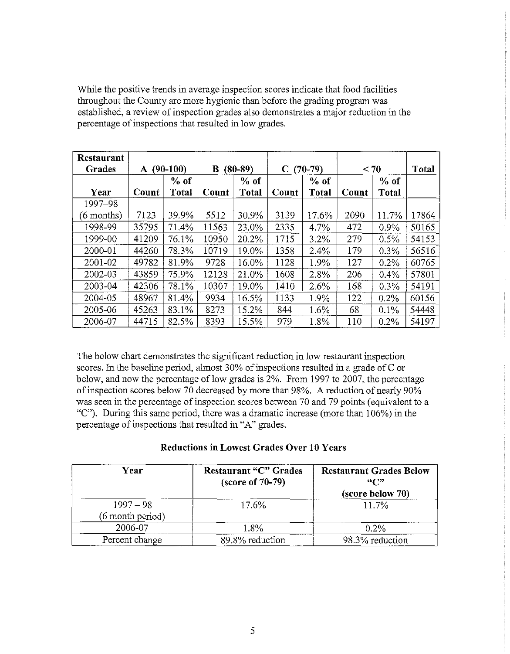| While the positive trends in average inspection scores indicate that food facilities<br>throughout the County are more hygienic than before the grading program was<br>established, a review of inspection grades also demonstrates a major reduction in the<br>percentage of inspections that resulted in low grades. |                                                                                                                                            |  |  |
|------------------------------------------------------------------------------------------------------------------------------------------------------------------------------------------------------------------------------------------------------------------------------------------------------------------------|--------------------------------------------------------------------------------------------------------------------------------------------|--|--|
| Restaurant<br>$A(90-100)$<br>$B(80-89)$<br>Grades<br>$%$ of<br>$%$ of                                                                                                                                                                                                                                                  | $C(70-79)$<br>< 70<br>Total<br>% of<br>$%$ of                                                                                              |  |  |
| Count   Total   Count   Total   Count  <br>Year<br>1997-98<br>$(6$ months)<br>7123<br>$ 39.9\% 5512 30.9\% $                                                                                                                                                                                                           | Total<br>Total   Count<br>3139<br>  11.7%   17864  <br>  17.6%  <br>2090                                                                   |  |  |
| 35795 71.4% 11563 23.0% 2335<br>1998-99<br>$41209$   76.1%   10950   20.2%  <br>1999-00<br>$ 19.0\% $<br>44260<br>$78.3\%$   10719  <br>2000-01                                                                                                                                                                        | 472<br>$4.7\%$<br>$0.9\%$<br>$\boxed{50165}$<br>$1715$ 3.2%<br>$0.5\%$<br>$\boxed{54153}$<br>279<br>$1358$ 2.4%<br>179<br>$0.3\%$<br>56516 |  |  |
| $49782$ 81.9% 9728 16.0%<br>2001-02<br>$12128$ 21.0% 1608<br>2002-03<br>43859 75.9%<br>42306 78.1%<br>$10307$   19.0%  <br>2003-04                                                                                                                                                                                     | $0.2\%$<br>$1128$ 1.9%<br>127<br>60765<br>206<br>$0.4\%$<br>$ 57801\rceil$<br>$\mid 2.8\% \mid$                                            |  |  |
| $48967$   81.4%   9934<br>$16.5\%$ 1133<br>2004-05<br>$45263$ 83.1%<br>8273<br>$15.2\%$<br>2005-06<br>$44715$ 82.5% 8393 15.5%<br>2006-07                                                                                                                                                                              | 1410<br>2.6%<br>168<br>$0.3\%$<br>$ 54191\rangle$                                                                                          |  |  |
|                                                                                                                                                                                                                                                                                                                        | 1.9%<br>122<br>$0.2\%$<br>  60156<br>844<br>$0.1\%$<br>54448<br>1.6%<br>68<br>979<br>$\boxed{0.2\% \mid 54197}$<br>1.8%<br>110             |  |  |

#### **Reductions in Lowest Grades Over 10 Years**

| Year                            | <b>Restaurant "C" Grades</b><br>$(\text{score of } 70-79)$ | <b>Restaurant Grades Below</b><br>$\mathcal{L}$<br>(score below 70) |  |  |  |  |
|---------------------------------|------------------------------------------------------------|---------------------------------------------------------------------|--|--|--|--|
| $1997 - 98$<br>(6 month period) | 17.6%                                                      | 11.7%                                                               |  |  |  |  |
| 2006-07                         | 1.8%                                                       | $0.2\%$                                                             |  |  |  |  |
| Percent change                  | 89.8% reduction                                            | 98.3% reduction                                                     |  |  |  |  |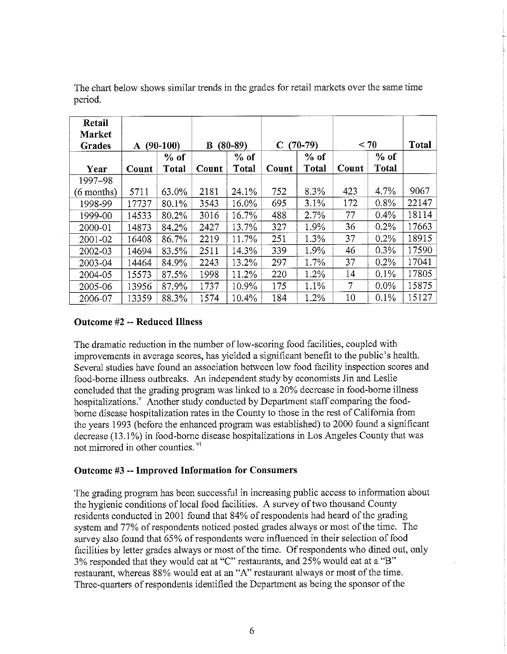| The chart below shows similar trends in the grades for retail markets over the same time |                |                 |              |                 |            |                        |           |                 |                |
|------------------------------------------------------------------------------------------|----------------|-----------------|--------------|-----------------|------------|------------------------|-----------|-----------------|----------------|
| period.                                                                                  |                |                 |              |                 |            |                        |           |                 |                |
| Retail                                                                                   |                |                 |              |                 |            |                        |           |                 |                |
| Market                                                                                   |                |                 |              |                 |            |                        |           |                 |                |
| Grades                                                                                   |                | A $(90-100)$    |              | $B(80-89)$      |            | $C(70-79)$             |           | < 70            | Total          |
| Year                                                                                     | Count          | $%$ of<br>Total | Count        | $%$ of<br>Total | Count      | $%$ of<br><b>Total</b> | Count     | $%$ of<br>Total |                |
| 1997-98                                                                                  |                |                 |              |                 |            |                        |           |                 |                |
| (6 months)                                                                               | 5711           | 63.0%           | 2181         | 24.1%           | 752        | 8.3%                   | 423       | 4.7%            | 9067           |
| 1998-99                                                                                  | 17737          | 80.1%           | 3543         | 16.0%           | 695<br>488 | 3.1%<br>2.7%           | 172<br>77 | 0.8%<br>0.4%    | 22147<br>18114 |
| 1999-00<br>2000-01                                                                       | 14533<br>14873 | 80.2%<br>84.2%  | 3016<br>2427 | 16.7%<br>13.7%  | 327        | 1.9%                   | 36        | 0.2%            | 17663          |
| 2001-02                                                                                  | 16408          | 86.7%           | 2219         | 11.7%           | 251        | 1.3%                   | 37        | 0.2%            | 18915          |
| 2002-03                                                                                  | 14694          | 83.5%           | 2511         | 14.3%           | 339        | 1.9%                   | 46        | 0.3%            | 17590          |
| 2003-04                                                                                  | 14464          | 84.9%           | 2243<br>1998 | 13.2%<br>11.2%  | 297<br>220 | 1.7%<br>1.2%           | 37<br>14  | 0.2%<br>0.1%    | 17041<br>17805 |
| 2004-05<br>2005-06                                                                       | 15573<br>13956 | 87.5%<br>87.9%  | 1737         | 10.9%           | 175        | 1.1%                   | $\tau$    | $0.0\%$         | 15875          |
| 2006-07                                                                                  | 13359          | 88.3%           | 1574         | 10.4%           | 184        | 1.2%                   | 10        | $0.1\%$         | 15127          |

#### **Outcome #2** -- **Reduced Illness**

The dramatic reduction in the number of low-scoring food facilities, coupled with improvements in average scores, has yielded a significant benefit to the public's health. Several studies have found an association between low food facility inspection scores and food-borne illness outbreaks. An independent study by economists Jin and Leslie concluded that the grading program was linked to a 20% decrease in food-borne illness hospitalizations.<sup>y</sup> Another study conducted by Department staff comparing the foodborne disease hospitalization rates in the County to those in the rest of California from the years 1993 (before the enhanced program was established) to 2000 found a significant decrease (13.1%) in food-borne disease hospitalizations in Los Angeles County that was not mirrored in other counties. **vi** 

#### **Outcome #3** -- **Improved Information for Consumers**

The grading program has been successful in increasing public access to information about the hygienic conditions of local food facilities. A survey of two thousand County residents conducted in 2001 found that 84% of respondents had heard of the grading system and 77% of respondents noticed posted grades always or most of the time. The survey also found that 65% of respondents were influenced in their selection of food facilities by letter grades always or most of the time. Of respondents who dined out, only 3% responded that they would eat at "C" restaurants, and 25% would eat at a "B" restaurant, whereas 88% would eat at an "A" restaurant always or most of the time. Three-quarters of respondents identified the Department as being the sponsor of the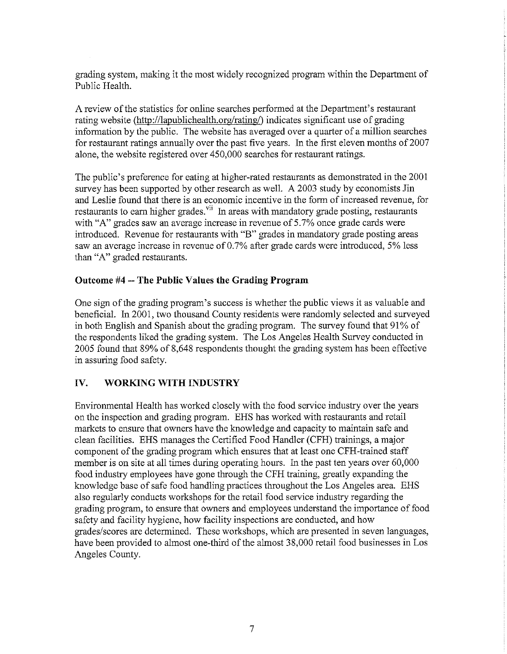grading system, making it the most widely recognized program within the Department of Public Health.

A review of the statistics for online searches performed at the Department's restaurant rating website (http://lapublichealth.org/rating/) indicates significant use of grading information by the public. The website has averaged over a quarter of a million searches for restaurant ratings annually over the past five years. In the first eleven months of  $2007$ alone, the website registered over 450,000 searches for restaurant ratings.

The public's preference for eating at higher-rated restaurants as demonstrated in the 2001 survey has been supported by other research as well. A 2003 study by economists Jin and Leslie found that there is an economic incentive in the form of increased revenue, for restaurants to earn higher grades.<sup>vii</sup> In areas with mandatory grade posting, restaurants with "A" grades saw an average increase in revenue of 5.7% once grade cards were introduced. Revenue for restaurants with "B" grades in mandatory grade posting areas saw an average increase in revenue of 0.7% after grade cards were introduced, 5% less than "A" graded restaurants.

#### **Outcome #4** -- **The Public Values the Grading Program**

One sign of the grading program's success is whether the public views it as valuable and beneficial. In 2001, two thousand County residents were randomly selected and surveyed in both English and Spanish about the grading program. The survey found that 91% of the respondents liked the grading system. The Los Angeles Health Survey conducted in 2005 found that 89% of 8,648 respondents thought the grading system has been effective in assuring food safety.

## **IV. WORKING WITH INDUSTRY**

Environmental Health has worked closely with the food service industry over the years on the inspection and grading program. EHS has worked with restaurants and retail markets to ensure that owners have the knowledge and capacity to maintain safe and clean facilities. EHS manages the Certified Food Handler (CFH) trainings, a major component of the grading program which ensures that at least one CFH-trained staff member is on site at all times during operating hours. In the past ten years over 60,000 food industry employees have gone through the CFH training, greatly expanding the knowledge base of safe food handling practices throughout the Los Angeles area. EHS also regularly conducts workshops for the retail food service industry regarding the grading program, to ensure that owners and employees understand the importance of food safety and facility hygiene, how facility inspections are conducted, and how grades/scores are determined. These workshops, which are presented in seven languages, have been provided to almost one-third of the almost 38,000 retail food businesses in Los Angeles County.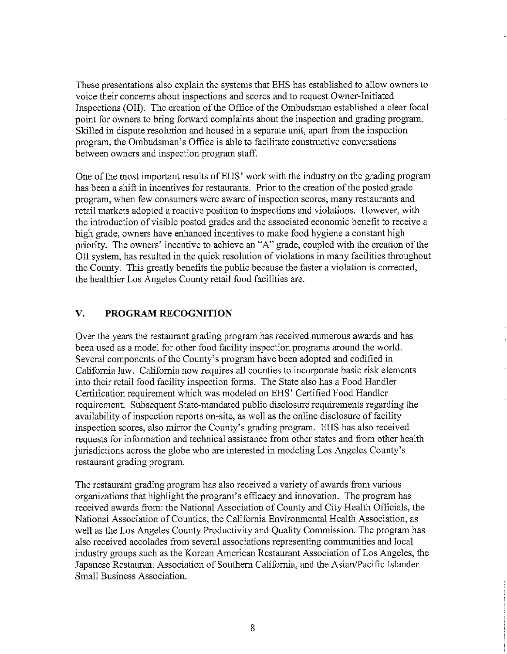These presentations also explain the systems that EHS has established to allow owners to voice their concerns about inspections and scores and to request Owner-Initiated Inspections (011). The creation of the Office of the Ombudsman established a clear focal point for owners to bring fonvard complaints about the inspection and grading program. Skilled in dispute resolution and housed in a separate unit, apart from the inspection program, the Ombudsman's Office is able to facilitate constructive conversations between owners and inspection program staff.

One of the most important results of EHS' work with the industry on the grading program has been a shift in incentives for restaurants. Prior to the creation of the posted grade program, when few consumers were aware of inspection scores, many restaurants and retail markets adopted a reactive position to inspections and violations. However, with the introduction of visible posted grades and the associated economic benefit to receive a high grade, owners have enhanced incentives to make food hygiene a constant high priority. The owners' incentive to achieve an "A" grade, coupled with the creation of the 011 system, has resulted in the quick resolution of violations in many facilities throughout the County. This greatly benefits the public because the faster a violation is corrected, the healthier Los Angeles County retail food facilities are.

## **V. PROGRAM RECOGNITION**

Over the years the restaurant grading program has received numerous awards and has been used as a model for other food facility inspection programs around the world. Several components of the County's program have been adopted and codified in California law. California now requires all counties to incorporate basic risk elements into their retail food facility inspection forms. The State also has a Food Handler Certification requirement which was modeled on EHS' Certified Food Handler requirement. Subsequent State-mandated public disclosure requirements regarding the availability of inspection reports on-site, as well as the online disclosure of facility inspection scores, also mirror the County's grading program. EHS has also received requests for information and technical assistance from other states and from other health jurisdictions across the globe who are interested in modeling Los Angeles County's restaurant grading program.

The restaurant grading program has also received a variety of awards from various organizations that highlight the program's efficacy and innovation. The program has received awards from: the National Association of County and City Health Officials, the National Association of Counties, the California Environmental Health Association, as well as the Los Angeles County Productivity and Quality Commission. The program has also received accolades from several associations representing communities and local industry groups such as the Korean American Restaurant Association of Los Angeles, the Japanese Restaurant Association of Southern California, and the Asian/Pacific Islander Small Business Association.